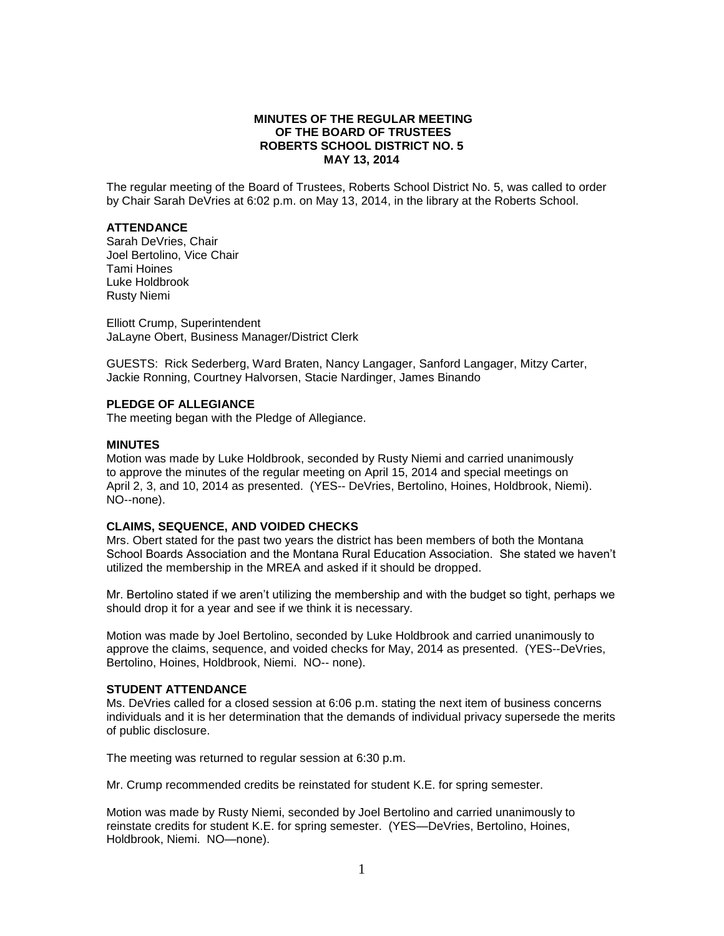### **MINUTES OF THE REGULAR MEETING OF THE BOARD OF TRUSTEES ROBERTS SCHOOL DISTRICT NO. 5 MAY 13, 2014**

The regular meeting of the Board of Trustees, Roberts School District No. 5, was called to order by Chair Sarah DeVries at 6:02 p.m. on May 13, 2014, in the library at the Roberts School.

## **ATTENDANCE**

Sarah DeVries, Chair Joel Bertolino, Vice Chair Tami Hoines Luke Holdbrook Rusty Niemi

Elliott Crump, Superintendent JaLayne Obert, Business Manager/District Clerk

GUESTS: Rick Sederberg, Ward Braten, Nancy Langager, Sanford Langager, Mitzy Carter, Jackie Ronning, Courtney Halvorsen, Stacie Nardinger, James Binando

### **PLEDGE OF ALLEGIANCE**

The meeting began with the Pledge of Allegiance.

### **MINUTES**

Motion was made by Luke Holdbrook, seconded by Rusty Niemi and carried unanimously to approve the minutes of the regular meeting on April 15, 2014 and special meetings on April 2, 3, and 10, 2014 as presented. (YES-- DeVries, Bertolino, Hoines, Holdbrook, Niemi). NO--none).

#### **CLAIMS, SEQUENCE, AND VOIDED CHECKS**

Mrs. Obert stated for the past two years the district has been members of both the Montana School Boards Association and the Montana Rural Education Association. She stated we haven't utilized the membership in the MREA and asked if it should be dropped.

Mr. Bertolino stated if we aren't utilizing the membership and with the budget so tight, perhaps we should drop it for a year and see if we think it is necessary.

Motion was made by Joel Bertolino, seconded by Luke Holdbrook and carried unanimously to approve the claims, sequence, and voided checks for May, 2014 as presented. (YES--DeVries, Bertolino, Hoines, Holdbrook, Niemi. NO-- none).

#### **STUDENT ATTENDANCE**

Ms. DeVries called for a closed session at 6:06 p.m. stating the next item of business concerns individuals and it is her determination that the demands of individual privacy supersede the merits of public disclosure.

The meeting was returned to regular session at 6:30 p.m.

Mr. Crump recommended credits be reinstated for student K.E. for spring semester.

Motion was made by Rusty Niemi, seconded by Joel Bertolino and carried unanimously to reinstate credits for student K.E. for spring semester. (YES—DeVries, Bertolino, Hoines, Holdbrook, Niemi. NO—none).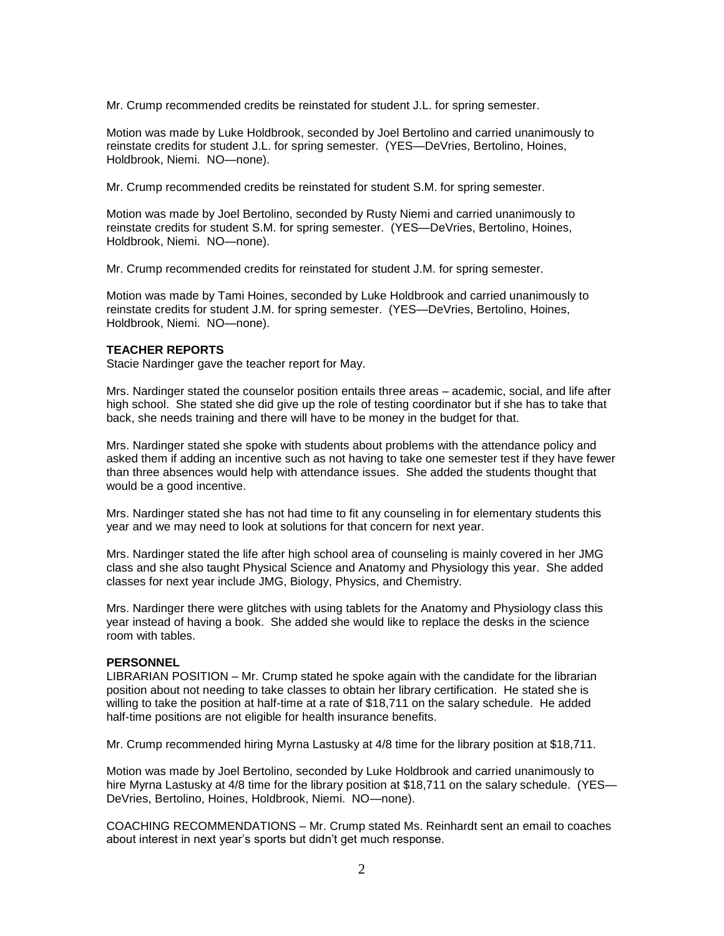Mr. Crump recommended credits be reinstated for student J.L. for spring semester.

Motion was made by Luke Holdbrook, seconded by Joel Bertolino and carried unanimously to reinstate credits for student J.L. for spring semester. (YES—DeVries, Bertolino, Hoines, Holdbrook, Niemi. NO—none).

Mr. Crump recommended credits be reinstated for student S.M. for spring semester.

Motion was made by Joel Bertolino, seconded by Rusty Niemi and carried unanimously to reinstate credits for student S.M. for spring semester. (YES—DeVries, Bertolino, Hoines, Holdbrook, Niemi. NO—none).

Mr. Crump recommended credits for reinstated for student J.M. for spring semester.

Motion was made by Tami Hoines, seconded by Luke Holdbrook and carried unanimously to reinstate credits for student J.M. for spring semester. (YES—DeVries, Bertolino, Hoines, Holdbrook, Niemi. NO—none).

# **TEACHER REPORTS**

Stacie Nardinger gave the teacher report for May.

Mrs. Nardinger stated the counselor position entails three areas – academic, social, and life after high school. She stated she did give up the role of testing coordinator but if she has to take that back, she needs training and there will have to be money in the budget for that.

Mrs. Nardinger stated she spoke with students about problems with the attendance policy and asked them if adding an incentive such as not having to take one semester test if they have fewer than three absences would help with attendance issues. She added the students thought that would be a good incentive.

Mrs. Nardinger stated she has not had time to fit any counseling in for elementary students this year and we may need to look at solutions for that concern for next year.

Mrs. Nardinger stated the life after high school area of counseling is mainly covered in her JMG class and she also taught Physical Science and Anatomy and Physiology this year. She added classes for next year include JMG, Biology, Physics, and Chemistry.

Mrs. Nardinger there were glitches with using tablets for the Anatomy and Physiology class this year instead of having a book. She added she would like to replace the desks in the science room with tables.

# **PERSONNEL**

LIBRARIAN POSITION – Mr. Crump stated he spoke again with the candidate for the librarian position about not needing to take classes to obtain her library certification. He stated she is willing to take the position at half-time at a rate of \$18,711 on the salary schedule. He added half-time positions are not eligible for health insurance benefits.

Mr. Crump recommended hiring Myrna Lastusky at 4/8 time for the library position at \$18,711.

Motion was made by Joel Bertolino, seconded by Luke Holdbrook and carried unanimously to hire Myrna Lastusky at 4/8 time for the library position at \$18,711 on the salary schedule. (YES— DeVries, Bertolino, Hoines, Holdbrook, Niemi. NO—none).

COACHING RECOMMENDATIONS – Mr. Crump stated Ms. Reinhardt sent an email to coaches about interest in next year's sports but didn't get much response.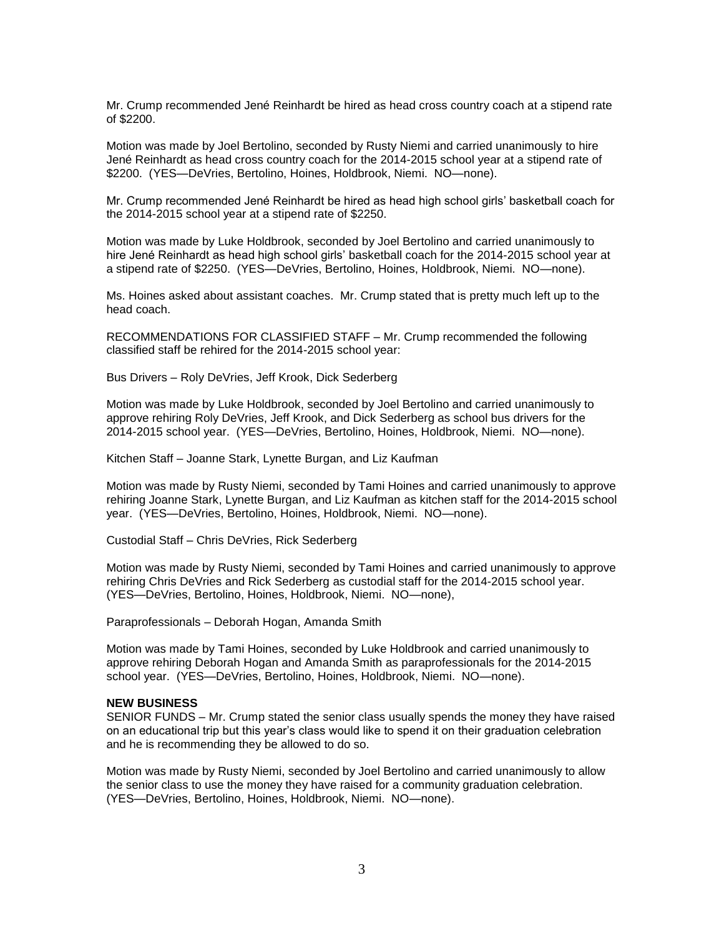Mr. Crump recommended Jené Reinhardt be hired as head cross country coach at a stipend rate of \$2200.

Motion was made by Joel Bertolino, seconded by Rusty Niemi and carried unanimously to hire Jené Reinhardt as head cross country coach for the 2014-2015 school year at a stipend rate of \$2200. (YES—DeVries, Bertolino, Hoines, Holdbrook, Niemi. NO—none).

Mr. Crump recommended Jené Reinhardt be hired as head high school girls' basketball coach for the 2014-2015 school year at a stipend rate of \$2250.

Motion was made by Luke Holdbrook, seconded by Joel Bertolino and carried unanimously to hire Jené Reinhardt as head high school girls' basketball coach for the 2014-2015 school year at a stipend rate of \$2250. (YES—DeVries, Bertolino, Hoines, Holdbrook, Niemi. NO—none).

Ms. Hoines asked about assistant coaches. Mr. Crump stated that is pretty much left up to the head coach.

RECOMMENDATIONS FOR CLASSIFIED STAFF – Mr. Crump recommended the following classified staff be rehired for the 2014-2015 school year:

Bus Drivers – Roly DeVries, Jeff Krook, Dick Sederberg

Motion was made by Luke Holdbrook, seconded by Joel Bertolino and carried unanimously to approve rehiring Roly DeVries, Jeff Krook, and Dick Sederberg as school bus drivers for the 2014-2015 school year. (YES—DeVries, Bertolino, Hoines, Holdbrook, Niemi. NO—none).

Kitchen Staff – Joanne Stark, Lynette Burgan, and Liz Kaufman

Motion was made by Rusty Niemi, seconded by Tami Hoines and carried unanimously to approve rehiring Joanne Stark, Lynette Burgan, and Liz Kaufman as kitchen staff for the 2014-2015 school year. (YES—DeVries, Bertolino, Hoines, Holdbrook, Niemi. NO—none).

Custodial Staff – Chris DeVries, Rick Sederberg

Motion was made by Rusty Niemi, seconded by Tami Hoines and carried unanimously to approve rehiring Chris DeVries and Rick Sederberg as custodial staff for the 2014-2015 school year. (YES—DeVries, Bertolino, Hoines, Holdbrook, Niemi. NO—none),

Paraprofessionals – Deborah Hogan, Amanda Smith

Motion was made by Tami Hoines, seconded by Luke Holdbrook and carried unanimously to approve rehiring Deborah Hogan and Amanda Smith as paraprofessionals for the 2014-2015 school year. (YES—DeVries, Bertolino, Hoines, Holdbrook, Niemi. NO—none).

#### **NEW BUSINESS**

SENIOR FUNDS – Mr. Crump stated the senior class usually spends the money they have raised on an educational trip but this year's class would like to spend it on their graduation celebration and he is recommending they be allowed to do so.

Motion was made by Rusty Niemi, seconded by Joel Bertolino and carried unanimously to allow the senior class to use the money they have raised for a community graduation celebration. (YES—DeVries, Bertolino, Hoines, Holdbrook, Niemi. NO—none).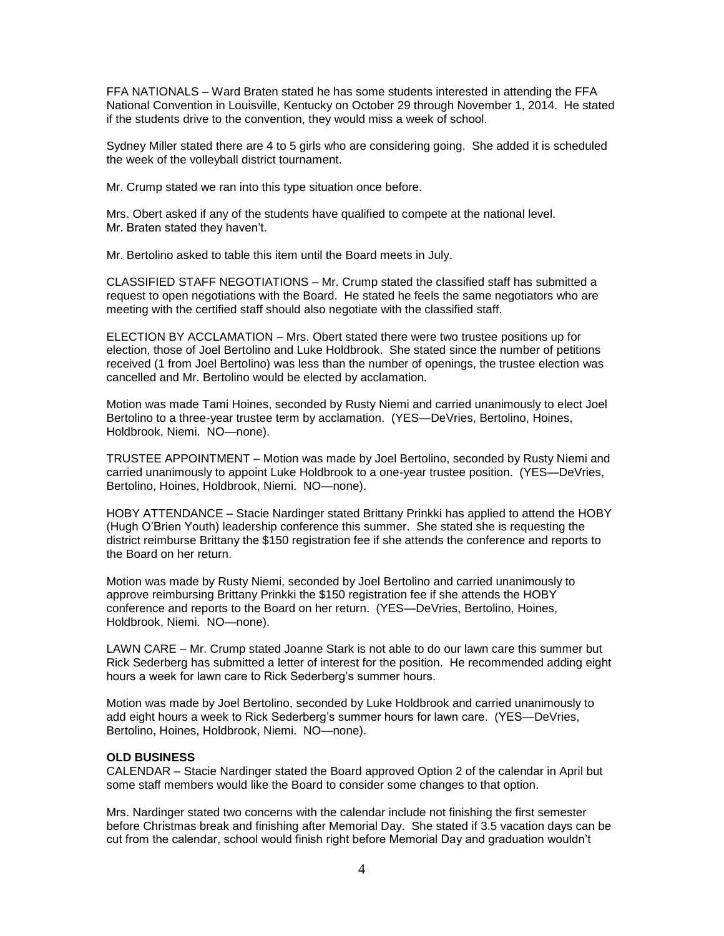FFA NATIONALS – Ward Braten stated he has some students interested in attending the FFA National Convention in Louisville, Kentucky on October 29 through November 1, 2014. He stated if the students drive to the convention, they would miss a week of school.

Sydney Miller stated there are 4 to 5 girls who are considering going. She added it is scheduled the week of the volleyball district tournament.

Mr. Crump stated we ran into this type situation once before.

Mrs. Obert asked if any of the students have qualified to compete at the national level. Mr. Braten stated they haven't.

Mr. Bertolino asked to table this item until the Board meets in July.

CLASSIFIED STAFF NEGOTIATIONS – Mr. Crump stated the classified staff has submitted a request to open negotiations with the Board. He stated he feels the same negotiators who are meeting with the certified staff should also negotiate with the classified staff.

ELECTION BY ACCLAMATION – Mrs. Obert stated there were two trustee positions up for election, those of Joel Bertolino and Luke Holdbrook. She stated since the number of petitions received (1 from Joel Bertolino) was less than the number of openings, the trustee election was cancelled and Mr. Bertolino would be elected by acclamation.

Motion was made Tami Hoines, seconded by Rusty Niemi and carried unanimously to elect Joel Bertolino to a three-year trustee term by acclamation. (YES—DeVries, Bertolino, Hoines, Holdbrook, Niemi. NO—none).

TRUSTEE APPOINTMENT – Motion was made by Joel Bertolino, seconded by Rusty Niemi and carried unanimously to appoint Luke Holdbrook to a one-year trustee position. (YES—DeVries, Bertolino, Hoines, Holdbrook, Niemi. NO—none).

HOBY ATTENDANCE – Stacie Nardinger stated Brittany Prinkki has applied to attend the HOBY (Hugh O'Brien Youth) leadership conference this summer. She stated she is requesting the district reimburse Brittany the \$150 registration fee if she attends the conference and reports to the Board on her return.

Motion was made by Rusty Niemi, seconded by Joel Bertolino and carried unanimously to approve reimbursing Brittany Prinkki the \$150 registration fee if she attends the HOBY conference and reports to the Board on her return. (YES—DeVries, Bertolino, Hoines, Holdbrook, Niemi. NO—none).

LAWN CARE – Mr. Crump stated Joanne Stark is not able to do our lawn care this summer but Rick Sederberg has submitted a letter of interest for the position. He recommended adding eight hours a week for lawn care to Rick Sederberg's summer hours.

Motion was made by Joel Bertolino, seconded by Luke Holdbrook and carried unanimously to add eight hours a week to Rick Sederberg's summer hours for lawn care. (YES—DeVries, Bertolino, Hoines, Holdbrook, Niemi. NO—none).

#### **OLD BUSINESS**

CALENDAR – Stacie Nardinger stated the Board approved Option 2 of the calendar in April but some staff members would like the Board to consider some changes to that option.

Mrs. Nardinger stated two concerns with the calendar include not finishing the first semester before Christmas break and finishing after Memorial Day. She stated if 3.5 vacation days can be cut from the calendar, school would finish right before Memorial Day and graduation wouldn't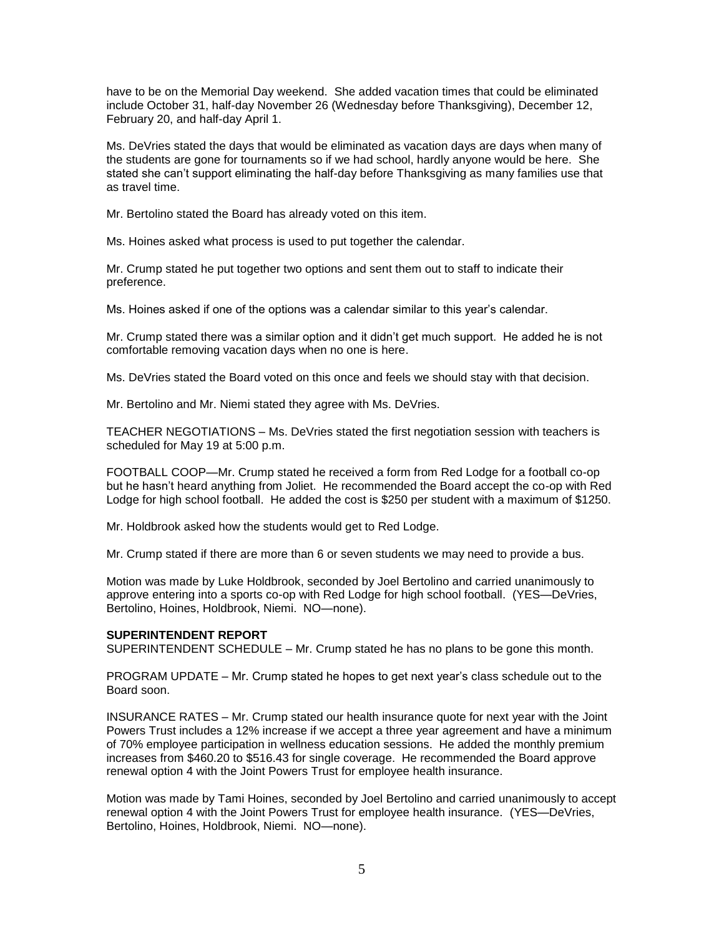have to be on the Memorial Day weekend. She added vacation times that could be eliminated include October 31, half-day November 26 (Wednesday before Thanksgiving), December 12, February 20, and half-day April 1.

Ms. DeVries stated the days that would be eliminated as vacation days are days when many of the students are gone for tournaments so if we had school, hardly anyone would be here. She stated she can't support eliminating the half-day before Thanksgiving as many families use that as travel time.

Mr. Bertolino stated the Board has already voted on this item.

Ms. Hoines asked what process is used to put together the calendar.

Mr. Crump stated he put together two options and sent them out to staff to indicate their preference.

Ms. Hoines asked if one of the options was a calendar similar to this year's calendar.

Mr. Crump stated there was a similar option and it didn't get much support. He added he is not comfortable removing vacation days when no one is here.

Ms. DeVries stated the Board voted on this once and feels we should stay with that decision.

Mr. Bertolino and Mr. Niemi stated they agree with Ms. DeVries.

TEACHER NEGOTIATIONS – Ms. DeVries stated the first negotiation session with teachers is scheduled for May 19 at 5:00 p.m.

FOOTBALL COOP—Mr. Crump stated he received a form from Red Lodge for a football co-op but he hasn't heard anything from Joliet. He recommended the Board accept the co-op with Red Lodge for high school football. He added the cost is \$250 per student with a maximum of \$1250.

Mr. Holdbrook asked how the students would get to Red Lodge.

Mr. Crump stated if there are more than 6 or seven students we may need to provide a bus.

Motion was made by Luke Holdbrook, seconded by Joel Bertolino and carried unanimously to approve entering into a sports co-op with Red Lodge for high school football. (YES—DeVries, Bertolino, Hoines, Holdbrook, Niemi. NO—none).

# **SUPERINTENDENT REPORT**

SUPERINTENDENT SCHEDULE – Mr. Crump stated he has no plans to be gone this month.

PROGRAM UPDATE – Mr. Crump stated he hopes to get next year's class schedule out to the Board soon.

INSURANCE RATES – Mr. Crump stated our health insurance quote for next year with the Joint Powers Trust includes a 12% increase if we accept a three year agreement and have a minimum of 70% employee participation in wellness education sessions. He added the monthly premium increases from \$460.20 to \$516.43 for single coverage. He recommended the Board approve renewal option 4 with the Joint Powers Trust for employee health insurance.

Motion was made by Tami Hoines, seconded by Joel Bertolino and carried unanimously to accept renewal option 4 with the Joint Powers Trust for employee health insurance. (YES—DeVries, Bertolino, Hoines, Holdbrook, Niemi. NO—none).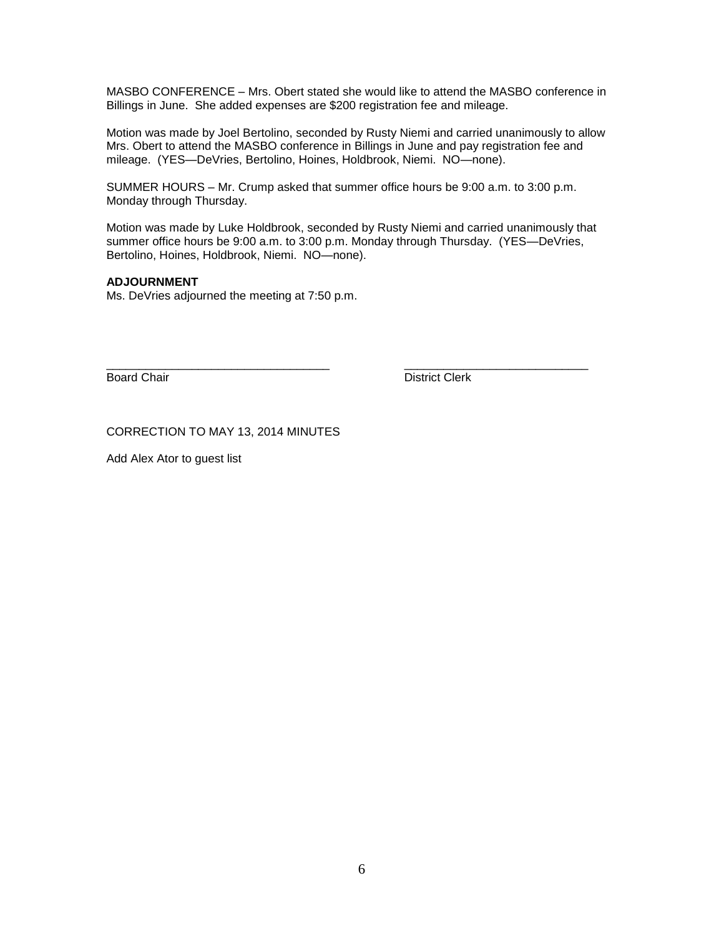MASBO CONFERENCE – Mrs. Obert stated she would like to attend the MASBO conference in Billings in June. She added expenses are \$200 registration fee and mileage.

Motion was made by Joel Bertolino, seconded by Rusty Niemi and carried unanimously to allow Mrs. Obert to attend the MASBO conference in Billings in June and pay registration fee and mileage. (YES—DeVries, Bertolino, Hoines, Holdbrook, Niemi. NO—none).

SUMMER HOURS – Mr. Crump asked that summer office hours be 9:00 a.m. to 3:00 p.m. Monday through Thursday.

Motion was made by Luke Holdbrook, seconded by Rusty Niemi and carried unanimously that summer office hours be 9:00 a.m. to 3:00 p.m. Monday through Thursday. (YES—DeVries, Bertolino, Hoines, Holdbrook, Niemi. NO—none).

# **ADJOURNMENT**

Ms. DeVries adjourned the meeting at 7:50 p.m.

\_\_\_\_\_\_\_\_\_\_\_\_\_\_\_\_\_\_\_\_\_\_\_\_\_\_\_\_\_\_\_\_\_\_ \_\_\_\_\_\_\_\_\_\_\_\_\_\_\_\_\_\_\_\_\_\_\_\_\_\_\_\_ Board Chair **District Clerk** 

CORRECTION TO MAY 13, 2014 MINUTES

Add Alex Ator to guest list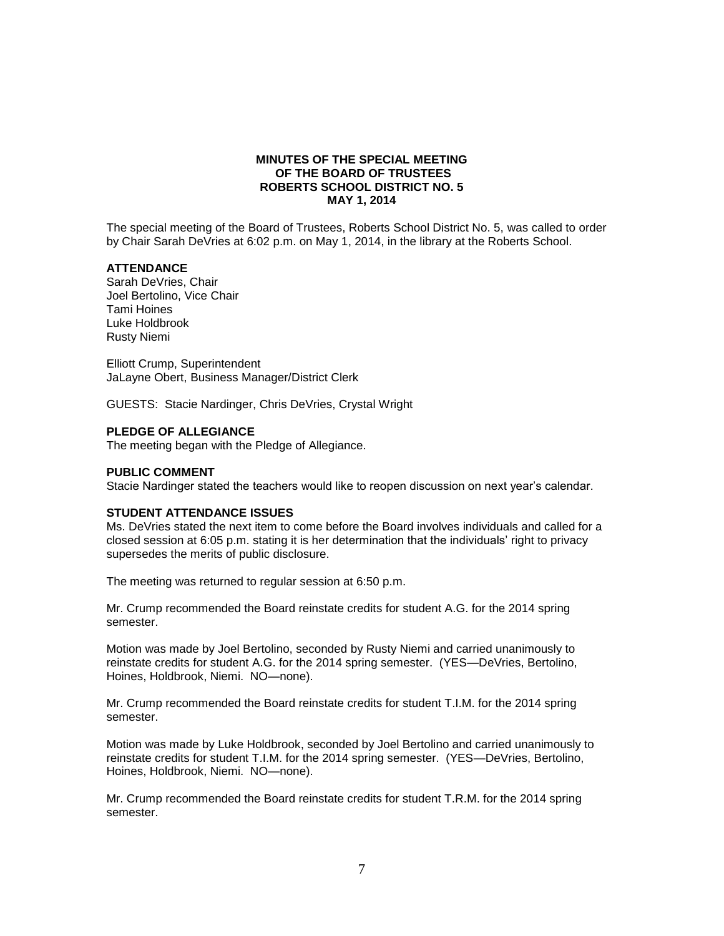# **MINUTES OF THE SPECIAL MEETING OF THE BOARD OF TRUSTEES ROBERTS SCHOOL DISTRICT NO. 5 MAY 1, 2014**

The special meeting of the Board of Trustees, Roberts School District No. 5, was called to order by Chair Sarah DeVries at 6:02 p.m. on May 1, 2014, in the library at the Roberts School.

# **ATTENDANCE**

Sarah DeVries, Chair Joel Bertolino, Vice Chair Tami Hoines Luke Holdbrook Rusty Niemi

Elliott Crump, Superintendent JaLayne Obert, Business Manager/District Clerk

GUESTS: Stacie Nardinger, Chris DeVries, Crystal Wright

### **PLEDGE OF ALLEGIANCE**

The meeting began with the Pledge of Allegiance.

#### **PUBLIC COMMENT**

Stacie Nardinger stated the teachers would like to reopen discussion on next year's calendar.

#### **STUDENT ATTENDANCE ISSUES**

Ms. DeVries stated the next item to come before the Board involves individuals and called for a closed session at 6:05 p.m. stating it is her determination that the individuals' right to privacy supersedes the merits of public disclosure.

The meeting was returned to regular session at 6:50 p.m.

Mr. Crump recommended the Board reinstate credits for student A.G. for the 2014 spring semester.

Motion was made by Joel Bertolino, seconded by Rusty Niemi and carried unanimously to reinstate credits for student A.G. for the 2014 spring semester. (YES—DeVries, Bertolino, Hoines, Holdbrook, Niemi. NO—none).

Mr. Crump recommended the Board reinstate credits for student T.I.M. for the 2014 spring semester.

Motion was made by Luke Holdbrook, seconded by Joel Bertolino and carried unanimously to reinstate credits for student T.I.M. for the 2014 spring semester. (YES—DeVries, Bertolino, Hoines, Holdbrook, Niemi. NO—none).

Mr. Crump recommended the Board reinstate credits for student T.R.M. for the 2014 spring semester.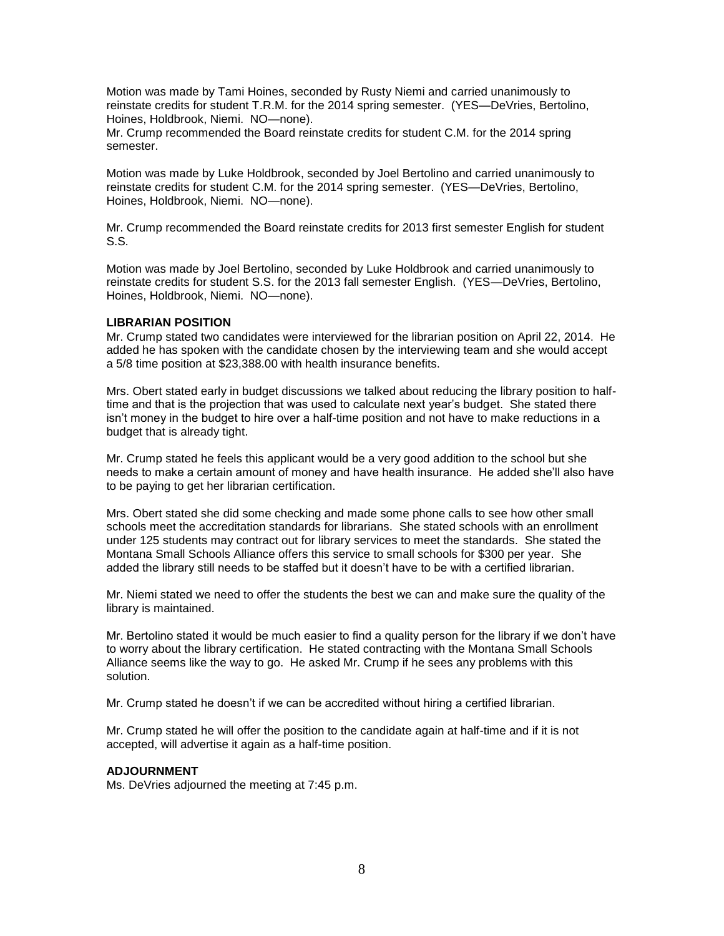Motion was made by Tami Hoines, seconded by Rusty Niemi and carried unanimously to reinstate credits for student T.R.M. for the 2014 spring semester. (YES—DeVries, Bertolino, Hoines, Holdbrook, Niemi. NO—none).

Mr. Crump recommended the Board reinstate credits for student C.M. for the 2014 spring semester.

Motion was made by Luke Holdbrook, seconded by Joel Bertolino and carried unanimously to reinstate credits for student C.M. for the 2014 spring semester. (YES—DeVries, Bertolino, Hoines, Holdbrook, Niemi. NO—none).

Mr. Crump recommended the Board reinstate credits for 2013 first semester English for student S.S.

Motion was made by Joel Bertolino, seconded by Luke Holdbrook and carried unanimously to reinstate credits for student S.S. for the 2013 fall semester English. (YES—DeVries, Bertolino, Hoines, Holdbrook, Niemi. NO—none).

# **LIBRARIAN POSITION**

Mr. Crump stated two candidates were interviewed for the librarian position on April 22, 2014. He added he has spoken with the candidate chosen by the interviewing team and she would accept a 5/8 time position at \$23,388.00 with health insurance benefits.

Mrs. Obert stated early in budget discussions we talked about reducing the library position to halftime and that is the projection that was used to calculate next year's budget. She stated there isn't money in the budget to hire over a half-time position and not have to make reductions in a budget that is already tight.

Mr. Crump stated he feels this applicant would be a very good addition to the school but she needs to make a certain amount of money and have health insurance. He added she'll also have to be paying to get her librarian certification.

Mrs. Obert stated she did some checking and made some phone calls to see how other small schools meet the accreditation standards for librarians. She stated schools with an enrollment under 125 students may contract out for library services to meet the standards. She stated the Montana Small Schools Alliance offers this service to small schools for \$300 per year. She added the library still needs to be staffed but it doesn't have to be with a certified librarian.

Mr. Niemi stated we need to offer the students the best we can and make sure the quality of the library is maintained.

Mr. Bertolino stated it would be much easier to find a quality person for the library if we don't have to worry about the library certification. He stated contracting with the Montana Small Schools Alliance seems like the way to go. He asked Mr. Crump if he sees any problems with this solution.

Mr. Crump stated he doesn't if we can be accredited without hiring a certified librarian.

Mr. Crump stated he will offer the position to the candidate again at half-time and if it is not accepted, will advertise it again as a half-time position.

# **ADJOURNMENT**

Ms. DeVries adjourned the meeting at 7:45 p.m.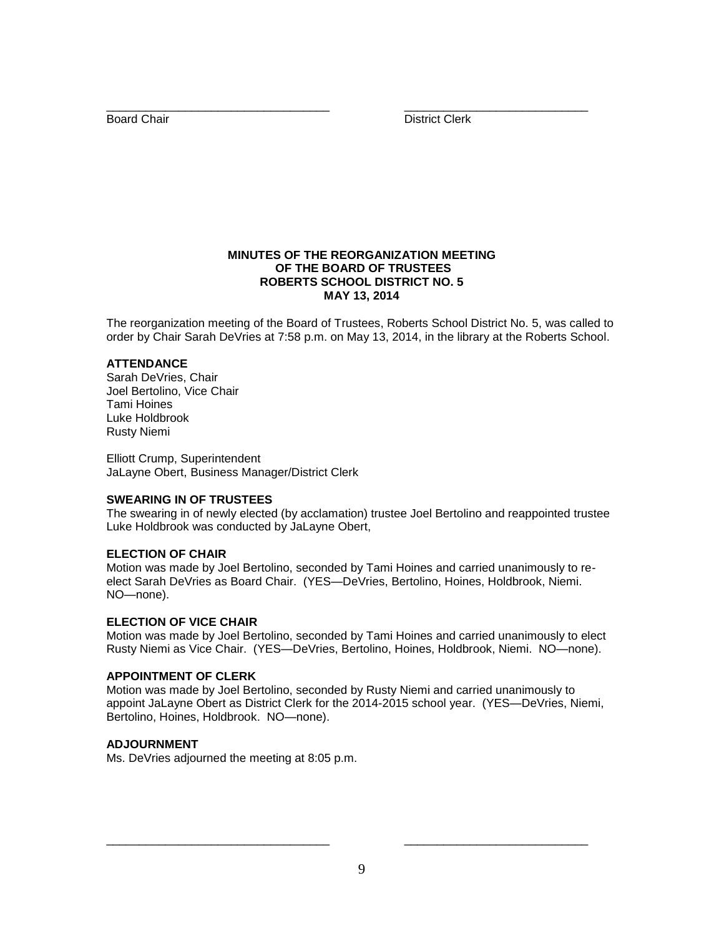\_\_\_\_\_\_\_\_\_\_\_\_\_\_\_\_\_\_\_\_\_\_\_\_\_\_\_\_\_\_\_\_\_\_ \_\_\_\_\_\_\_\_\_\_\_\_\_\_\_\_\_\_\_\_\_\_\_\_\_\_\_\_ Board Chair **District Clerk** 

# **MINUTES OF THE REORGANIZATION MEETING OF THE BOARD OF TRUSTEES ROBERTS SCHOOL DISTRICT NO. 5 MAY 13, 2014**

The reorganization meeting of the Board of Trustees, Roberts School District No. 5, was called to order by Chair Sarah DeVries at 7:58 p.m. on May 13, 2014, in the library at the Roberts School.

# **ATTENDANCE**

Sarah DeVries, Chair Joel Bertolino, Vice Chair Tami Hoines Luke Holdbrook Rusty Niemi

Elliott Crump, Superintendent JaLayne Obert, Business Manager/District Clerk

# **SWEARING IN OF TRUSTEES**

The swearing in of newly elected (by acclamation) trustee Joel Bertolino and reappointed trustee Luke Holdbrook was conducted by JaLayne Obert,

# **ELECTION OF CHAIR**

Motion was made by Joel Bertolino, seconded by Tami Hoines and carried unanimously to reelect Sarah DeVries as Board Chair. (YES—DeVries, Bertolino, Hoines, Holdbrook, Niemi. NO—none).

# **ELECTION OF VICE CHAIR**

Motion was made by Joel Bertolino, seconded by Tami Hoines and carried unanimously to elect Rusty Niemi as Vice Chair. (YES—DeVries, Bertolino, Hoines, Holdbrook, Niemi. NO—none).

# **APPOINTMENT OF CLERK**

Motion was made by Joel Bertolino, seconded by Rusty Niemi and carried unanimously to appoint JaLayne Obert as District Clerk for the 2014-2015 school year. (YES—DeVries, Niemi, Bertolino, Hoines, Holdbrook. NO—none).

# **ADJOURNMENT**

Ms. DeVries adjourned the meeting at 8:05 p.m.

\_\_\_\_\_\_\_\_\_\_\_\_\_\_\_\_\_\_\_\_\_\_\_\_\_\_\_\_\_\_\_\_\_\_ \_\_\_\_\_\_\_\_\_\_\_\_\_\_\_\_\_\_\_\_\_\_\_\_\_\_\_\_